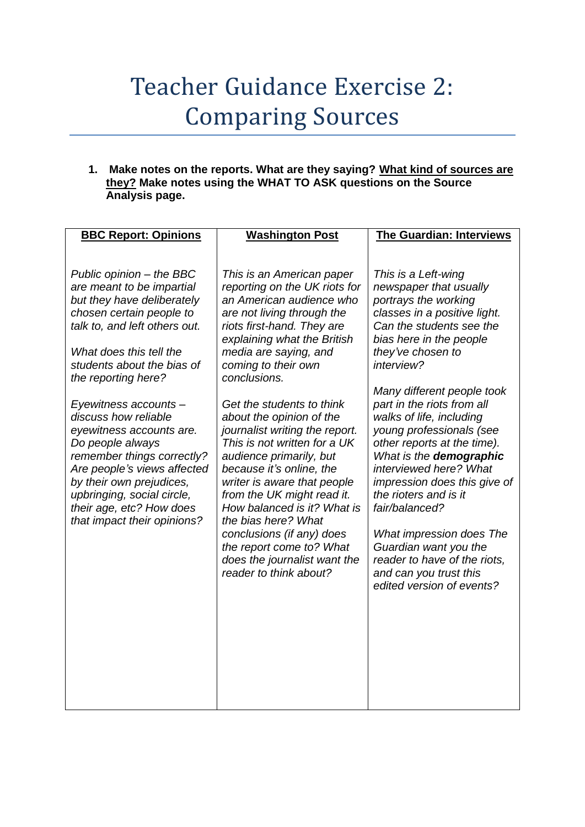## Teacher Guidance Exercise 2: Comparing Sources

**1. Make notes on the reports. What are they saying? What kind of sources are they? Make notes using the WHAT TO ASK questions on the Source Analysis page.**

| <b>BBC Report: Opinions</b>                                                                                                                                                                                                                                                                                                                                                                                                                                                                                         | <b>Washington Post</b>                                                                                                                                                                                                                                                                                                                                                                                                                                                                                                                                                                                                                                                    | <b>The Guardian: Interviews</b>                                                                                                                                                                                                                                                                                                                                                                                                                                                                                                                                                                                                |
|---------------------------------------------------------------------------------------------------------------------------------------------------------------------------------------------------------------------------------------------------------------------------------------------------------------------------------------------------------------------------------------------------------------------------------------------------------------------------------------------------------------------|---------------------------------------------------------------------------------------------------------------------------------------------------------------------------------------------------------------------------------------------------------------------------------------------------------------------------------------------------------------------------------------------------------------------------------------------------------------------------------------------------------------------------------------------------------------------------------------------------------------------------------------------------------------------------|--------------------------------------------------------------------------------------------------------------------------------------------------------------------------------------------------------------------------------------------------------------------------------------------------------------------------------------------------------------------------------------------------------------------------------------------------------------------------------------------------------------------------------------------------------------------------------------------------------------------------------|
| Public opinion - the BBC<br>are meant to be impartial<br>but they have deliberately<br>chosen certain people to<br>talk to, and left others out.<br>What does this tell the<br>students about the bias of<br>the reporting here?<br>Eyewitness accounts -<br>discuss how reliable<br>eyewitness accounts are.<br>Do people always<br>remember things correctly?<br>Are people's views affected<br>by their own prejudices,<br>upbringing, social circle,<br>their age, etc? How does<br>that impact their opinions? | This is an American paper<br>reporting on the UK riots for<br>an American audience who<br>are not living through the<br>riots first-hand. They are<br>explaining what the British<br>media are saying, and<br>coming to their own<br>conclusions.<br>Get the students to think<br>about the opinion of the<br>journalist writing the report.<br>This is not written for a UK<br>audience primarily, but<br>because it's online, the<br>writer is aware that people<br>from the UK might read it.<br>How balanced is it? What is<br>the bias here? What<br>conclusions (if any) does<br>the report come to? What<br>does the journalist want the<br>reader to think about? | This is a Left-wing<br>newspaper that usually<br>portrays the working<br>classes in a positive light.<br>Can the students see the<br>bias here in the people<br>they've chosen to<br>interview?<br>Many different people took<br>part in the riots from all<br>walks of life, including<br>young professionals (see<br>other reports at the time).<br>What is the demographic<br>interviewed here? What<br>impression does this give of<br>the rioters and is it<br>fair/balanced?<br>What impression does The<br>Guardian want you the<br>reader to have of the riots,<br>and can you trust this<br>edited version of events? |
|                                                                                                                                                                                                                                                                                                                                                                                                                                                                                                                     |                                                                                                                                                                                                                                                                                                                                                                                                                                                                                                                                                                                                                                                                           |                                                                                                                                                                                                                                                                                                                                                                                                                                                                                                                                                                                                                                |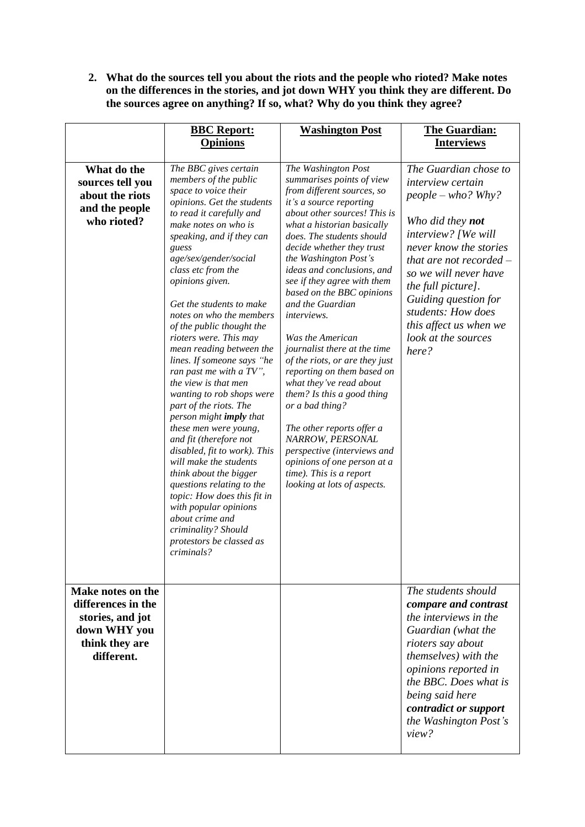**2. What do the sources tell you about the riots and the people who rioted? Make notes on the differences in the stories, and jot down WHY you think they are different. Do the sources agree on anything? If so, what? Why do you think they agree?**

|                                                                                                             | <b>BBC Report:</b><br><b>Opinions</b>                                                                                                                                                                                                                                                                                                                                                                                                                                                                                                                                                                                                                                                                                                                                                                                                                                                                 | <b>Washington Post</b>                                                                                                                                                                                                                                                                                                                                                                                                                                                                                                                                                                                                                                                                                                                                           | <b>The Guardian:</b><br><b>Interviews</b>                                                                                                                                                                                                                                                                                          |
|-------------------------------------------------------------------------------------------------------------|-------------------------------------------------------------------------------------------------------------------------------------------------------------------------------------------------------------------------------------------------------------------------------------------------------------------------------------------------------------------------------------------------------------------------------------------------------------------------------------------------------------------------------------------------------------------------------------------------------------------------------------------------------------------------------------------------------------------------------------------------------------------------------------------------------------------------------------------------------------------------------------------------------|------------------------------------------------------------------------------------------------------------------------------------------------------------------------------------------------------------------------------------------------------------------------------------------------------------------------------------------------------------------------------------------------------------------------------------------------------------------------------------------------------------------------------------------------------------------------------------------------------------------------------------------------------------------------------------------------------------------------------------------------------------------|------------------------------------------------------------------------------------------------------------------------------------------------------------------------------------------------------------------------------------------------------------------------------------------------------------------------------------|
|                                                                                                             |                                                                                                                                                                                                                                                                                                                                                                                                                                                                                                                                                                                                                                                                                                                                                                                                                                                                                                       |                                                                                                                                                                                                                                                                                                                                                                                                                                                                                                                                                                                                                                                                                                                                                                  |                                                                                                                                                                                                                                                                                                                                    |
| What do the<br>sources tell you<br>about the riots<br>and the people<br>who rioted?                         | The BBC gives certain<br>members of the public<br>space to voice their<br>opinions. Get the students<br>to read it carefully and<br>make notes on who is<br>speaking, and if they can<br>guess<br>age/sex/gender/social<br>class etc from the<br>opinions given.<br>Get the students to make<br>notes on who the members<br>of the public thought the<br>rioters were. This may<br>mean reading between the<br>lines. If someone says "he<br>ran past me with a TV",<br>the view is that men<br>wanting to rob shops were<br>part of the riots. The<br>person might <b>imply</b> that<br>these men were young,<br>and fit (therefore not<br>disabled, fit to work). This<br>will make the students<br>think about the bigger<br>questions relating to the<br>topic: How does this fit in<br>with popular opinions<br>about crime and<br>criminality? Should<br>protestors be classed as<br>criminals? | The Washington Post<br>summarises points of view<br>from different sources, so<br>it's a source reporting<br>about other sources! This is<br>what a historian basically<br>does. The students should<br>decide whether they trust<br>the Washington Post's<br>ideas and conclusions, and<br>see if they agree with them<br>based on the BBC opinions<br>and the Guardian<br>interviews.<br>Was the American<br>journalist there at the time<br>of the riots, or are they just<br>reporting on them based on<br>what they've read about<br>them? Is this a good thing<br>or a bad thing?<br>The other reports offer a<br>NARROW, PERSONAL<br>perspective (interviews and<br>opinions of one person at a<br>time). This is a report<br>looking at lots of aspects. | The Guardian chose to<br>interview certain<br>$people - who? Why?$<br>Who did they <b>not</b><br>interview? [We will<br>never know the stories<br>that are not recorded $-$<br>so we will never have<br>the full picture].<br>Guiding question for<br>students: How does<br>this affect us when we<br>look at the sources<br>here? |
| Make notes on the<br>differences in the<br>stories, and jot<br>down WHY you<br>think they are<br>different. |                                                                                                                                                                                                                                                                                                                                                                                                                                                                                                                                                                                                                                                                                                                                                                                                                                                                                                       |                                                                                                                                                                                                                                                                                                                                                                                                                                                                                                                                                                                                                                                                                                                                                                  | The students should<br>compare and contrast<br>the interviews in the<br>Guardian (what the<br>rioters say about<br>themselves) with the<br>opinions reported in<br>the BBC. Does what is<br>being said here<br>contradict or support<br>the Washington Post's<br>view?                                                             |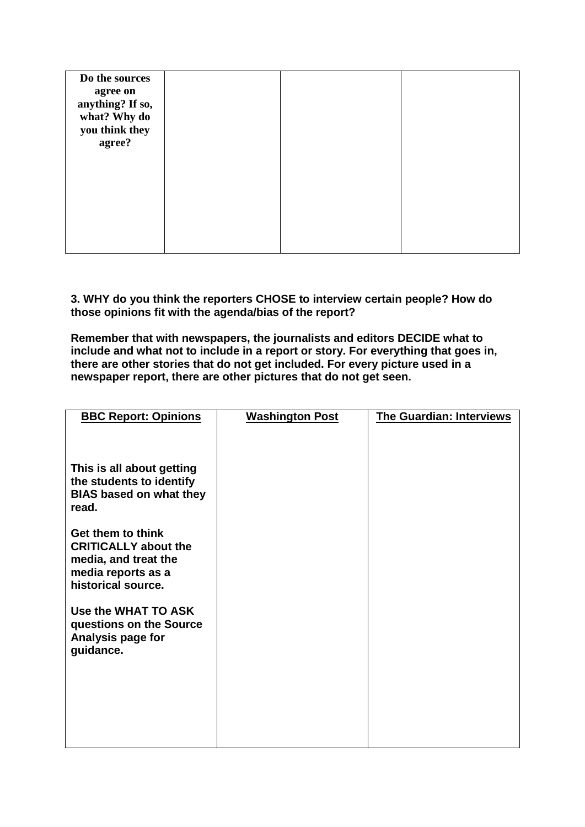| Do the sources               |  |  |
|------------------------------|--|--|
| agree on<br>anything? If so, |  |  |
| what? Why do                 |  |  |
| you think they               |  |  |
| agree?                       |  |  |
|                              |  |  |
|                              |  |  |
|                              |  |  |
|                              |  |  |
|                              |  |  |
|                              |  |  |
|                              |  |  |

**3. WHY do you think the reporters CHOSE to interview certain people? How do those opinions fit with the agenda/bias of the report?**

**Remember that with newspapers, the journalists and editors DECIDE what to include and what not to include in a report or story. For everything that goes in, there are other stories that do not get included. For every picture used in a newspaper report, there are other pictures that do not get seen.** 

| <b>BBC Report: Opinions</b>                                      | <b>Washington Post</b> | <b>The Guardian: Interviews</b> |
|------------------------------------------------------------------|------------------------|---------------------------------|
| This is all about getting<br>the students to identify            |                        |                                 |
| <b>BIAS based on what they</b><br>read.                          |                        |                                 |
| Get them to think<br><b>CRITICALLY about the</b>                 |                        |                                 |
| media, and treat the<br>media reports as a<br>historical source. |                        |                                 |
| Use the WHAT TO ASK<br>questions on the Source                   |                        |                                 |
| Analysis page for<br>guidance.                                   |                        |                                 |
|                                                                  |                        |                                 |
|                                                                  |                        |                                 |
|                                                                  |                        |                                 |